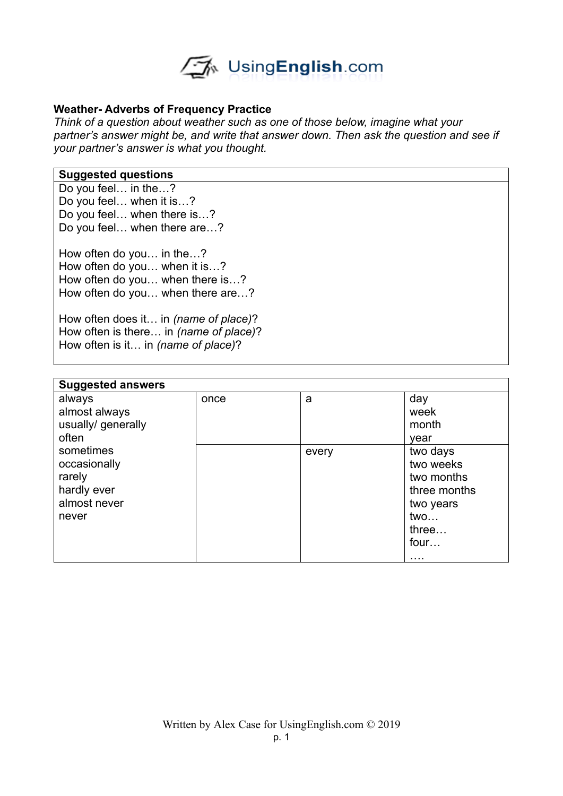

## **Weather- Adverbs of Frequency Practice**

*Think of a question about weather such as one of those below, imagine what your partner's answer might be, and write that answer down. Then ask the question and see if your partner's answer is what you thought.* 

#### **Suggested questions**

Do you feel… in the…? Do you feel… when it is…? Do you feel… when there is…? Do you feel… when there are…?

How often do you… in the…? How often do you… when it is…? How often do you… when there is…? How often do you… when there are…?

How often does it… in *(name of place)*? How often is there… in *(name of place)*? How often is it… in *(name of place)*?

| <b>Suggested answers</b>                                                    |      |       |                                                                                               |  |  |
|-----------------------------------------------------------------------------|------|-------|-----------------------------------------------------------------------------------------------|--|--|
| always<br>almost always<br>usually/ generally<br>often                      | once | a     | day<br>week<br>month<br>year                                                                  |  |  |
| sometimes<br>occasionally<br>rarely<br>hardly ever<br>almost never<br>never |      | every | two days<br>two weeks<br>two months<br>three months<br>two years<br>two<br>three<br>four<br>. |  |  |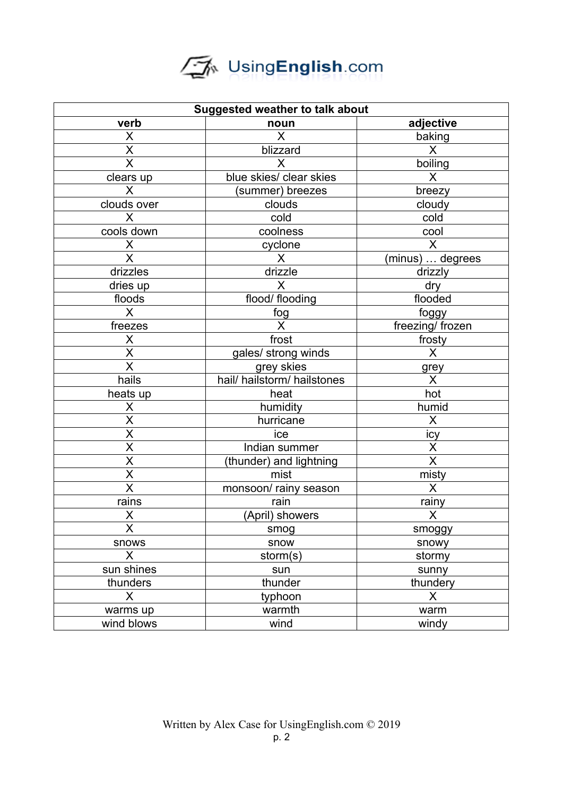# UsingEnglish.com

| <b>Suggested weather to talk about</b> |                             |                         |  |  |
|----------------------------------------|-----------------------------|-------------------------|--|--|
| verb                                   | noun                        | adjective               |  |  |
| X                                      | $\mathsf{X}$                | baking                  |  |  |
| $\sf X$                                | blizzard                    | X                       |  |  |
| $\overline{\mathsf{x}}$                | X                           | boiling                 |  |  |
| clears up                              | blue skies/ clear skies     | X                       |  |  |
| X                                      | (summer) breezes            | breezy                  |  |  |
| clouds over                            | clouds                      | cloudy                  |  |  |
| X                                      | cold                        | cold                    |  |  |
| cools down                             | coolness                    | cool                    |  |  |
| X                                      | cyclone                     | X                       |  |  |
| $\overline{\mathsf{X}}$                | $\sf X$                     | (minus)  degrees        |  |  |
| drizzles                               | drizzle                     | drizzly                 |  |  |
| dries up                               | X                           | dry                     |  |  |
| floods                                 | flood/ flooding             | flooded                 |  |  |
| $\mathsf{X}$                           | fog                         | foggy                   |  |  |
| freezes                                | X                           | freezing/ frozen        |  |  |
| $\overline{\mathsf{X}}$                | frost                       | frosty                  |  |  |
| $\overline{\mathsf{X}}$                | gales/ strong winds         | $\overline{\mathsf{X}}$ |  |  |
| $\overline{\mathsf{x}}$                | grey skies                  | grey                    |  |  |
| hails                                  | hail/ hailstorm/ hailstones | X                       |  |  |
| heats up                               | heat                        | hot                     |  |  |
| X                                      | humidity                    | humid                   |  |  |
| $\overline{\mathsf{x}}$                | hurricane                   | X                       |  |  |
| $\overline{\mathsf{x}}$                | ice                         | icy                     |  |  |
| $\overline{\mathsf{x}}$                | Indian summer               | X                       |  |  |
| X                                      | (thunder) and lightning     | $\sf X$                 |  |  |
| $\overline{\mathsf{x}}$                | mist                        | misty                   |  |  |
| $\overline{\mathsf{x}}$                | monsoon/ rainy season       | $\mathsf{X}$            |  |  |
| rains                                  | rain                        | rainy                   |  |  |
| X                                      | (April) showers             | $\sf X$                 |  |  |
| $\overline{\mathsf{x}}$                | smog                        | smoggy                  |  |  |
| snows                                  | snow                        | snowy                   |  |  |
| X                                      | storm(s)                    | stormy                  |  |  |
| sun shines                             | sun                         | sunny                   |  |  |
| thunders                               | thunder                     | thundery                |  |  |
| X                                      | typhoon                     | X                       |  |  |
| warms up                               | warmth                      | warm                    |  |  |
| wind blows                             | wind                        | windy                   |  |  |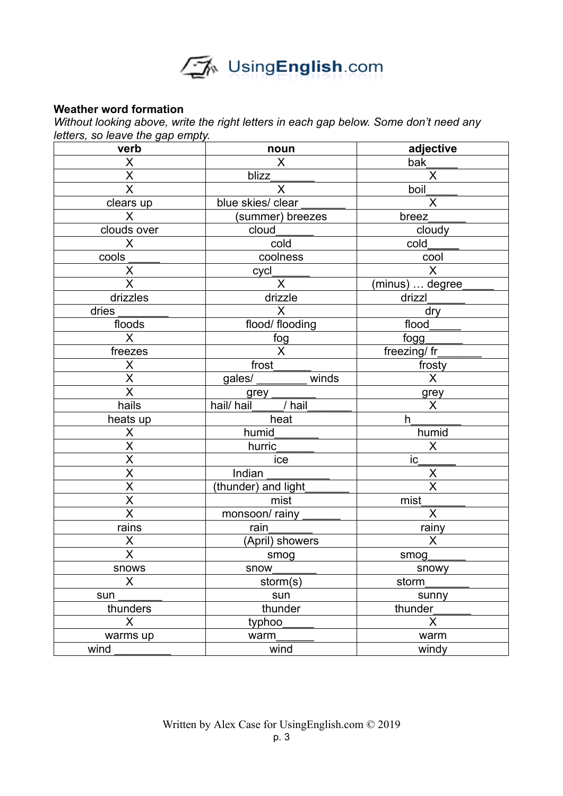

# **Weather word formation**

*Without looking above, write the right letters in each gap below. Some don't need any letters, so leave the gap empty.* 

| verb                                | noun                     | adjective               |
|-------------------------------------|--------------------------|-------------------------|
| $\mathsf X$                         | $\mathsf{X}$             | bak                     |
| $\frac{\overline{X}}{\overline{X}}$ | blizz                    | $\overline{\mathsf{x}}$ |
|                                     | X                        | boil                    |
| clears up                           | blue skies/ clear        | $\mathsf{X}$            |
| $\mathsf{X}$                        | (summer) breezes         | breez                   |
| clouds over                         | cloud                    | cloudy                  |
| $\sf X$                             | $\overline{\text{cold}}$ | cold                    |
| cools                               | coolness                 | cool                    |
| $\overline{X}$                      | cycl                     | $\mathsf{X}$            |
| $\overline{\mathsf{x}}$             | $\overline{\mathsf{x}}$  | (minus)  degree         |
| drizzles                            | drizzle                  | drizzl                  |
| dries                               | $\mathsf{X}$             | dry                     |
| floods                              | flood/ flooding          | flood                   |
| $\overline{\mathsf{X}}$             | $rac{\text{fog}}{X}$     | fogg                    |
| freezes                             |                          | freezing/ fr            |
| $\pmb{\mathsf{X}}$                  | $f$ rost                 | frosty                  |
| $\overline{\mathsf{x}}$             | gales/<br>winds          | $\overline{\mathsf{x}}$ |
| $\overline{\mathsf{x}}$             | grey                     | grey                    |
| hails                               | hail/ hail<br>/ hail     | X                       |
| heats up                            | heat                     | h                       |
| X                                   | humid                    | humid                   |
| $\overline{\mathsf{x}}$             | hurric                   | $\mathsf{X}$            |
| $\overline{\mathsf{x}}$             | ice                      | $ic_{-}$                |
| $\overline{\mathsf{x}}$             | Indian                   | $\sf X$                 |
| $\overline{\mathsf{x}}$             | (thunder) and light      | $\overline{\sf x}$      |
| $\overline{\mathsf{x}}$             | mist                     | mist                    |
| $\overline{\mathsf{x}}$             | monsoon/rainy            | $\overline{X}$          |
| $\overline{rains}$                  | rain                     | rainy                   |
| X                                   | (April) showers          | $\sf X$                 |
| $\overline{\mathsf{x}}$             | smog                     | smog                    |
| snows                               | snow                     | snowy                   |
| X                                   | storm(s)                 | storm                   |
| sun                                 | sun                      | sunny                   |
| thunders                            | thunder                  | thunder                 |
| X                                   | typhoo                   | X                       |
| warms up                            | warm                     | warm                    |
| wind                                | wind                     | windy                   |